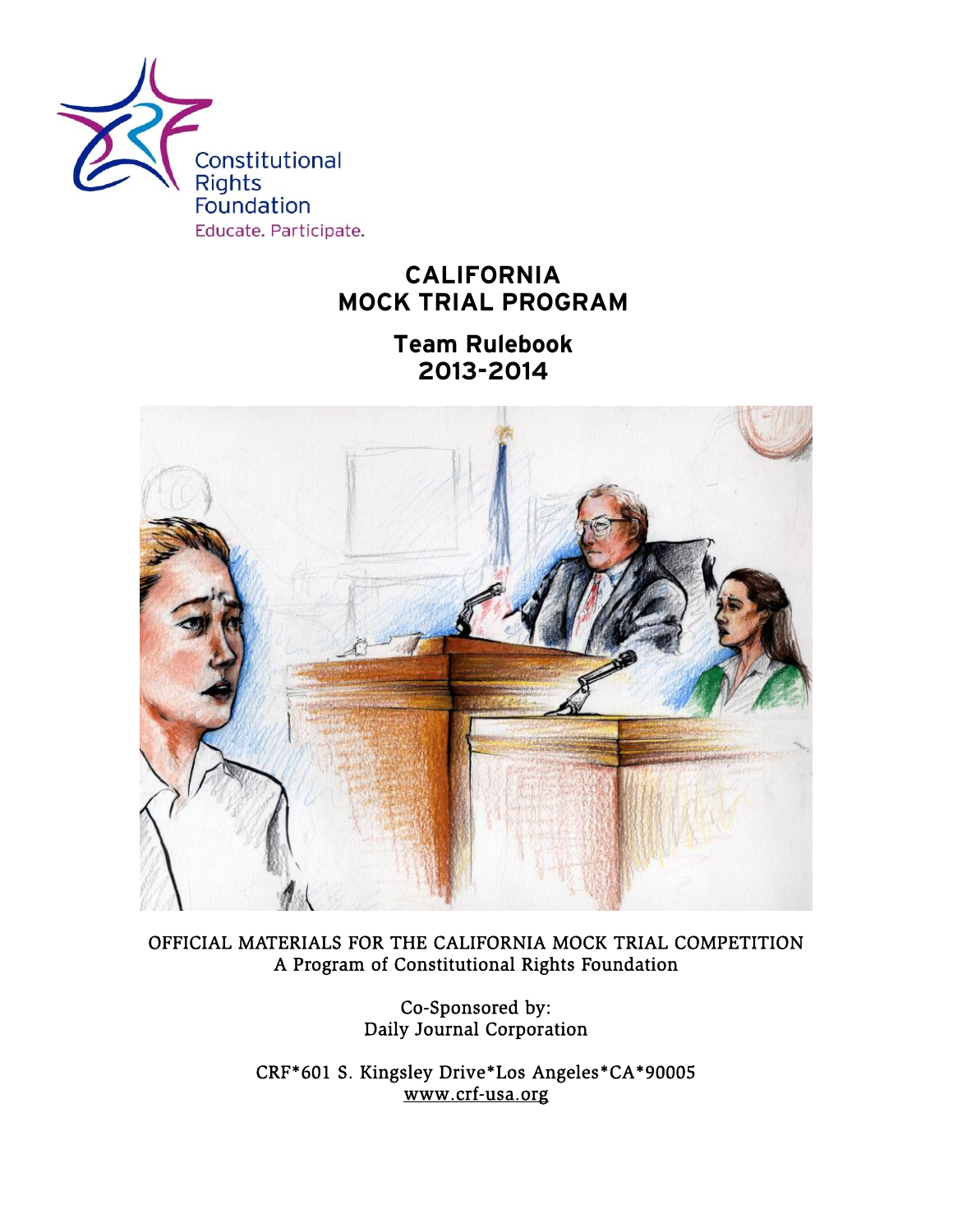

# **CALIFORNIA MOCK TRIAL PROGRAM**

**Team Rulebook 2013-2014** 



OFFICIAL MATERIALS FOR THE CALIFORNIA MOCK TRIAL COMPETITION A Program of Constitutional Rights Foundation

> Co-Sponsored by: Daily Journal Corporation

CRF\*601 S. Kingsley Drive\*Los Angeles\*CA\*90005 [www.crf-usa.org](http://www.crf-usa.org/)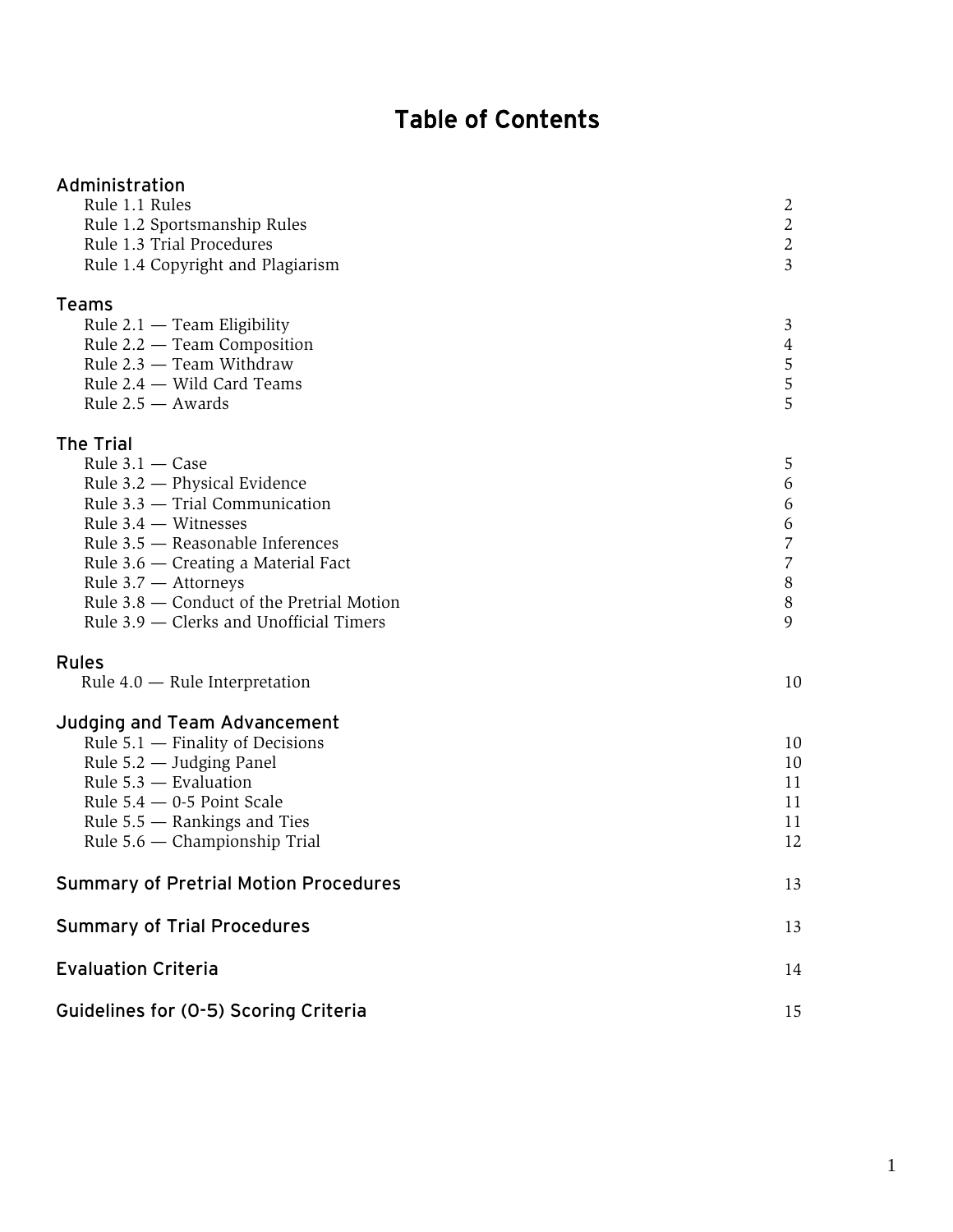# Table of Contents

| Administration<br>Rule 1.1 Rules<br>Rule 1.2 Sportsmanship Rules<br>Rule 1.3 Trial Procedures<br>Rule 1.4 Copyright and Plagiarism                                                                                                                                                                                             | 2<br>2<br>2<br>3                                           |
|--------------------------------------------------------------------------------------------------------------------------------------------------------------------------------------------------------------------------------------------------------------------------------------------------------------------------------|------------------------------------------------------------|
| <b>Teams</b><br>Rule $2.1$ – Team Eligibility<br>Rule 2.2 – Team Composition<br>Rule 2.3 - Team Withdraw<br>Rule 2.4 – Wild Card Teams<br>Rule $2.5 -$ Awards                                                                                                                                                                  | 3<br>4<br>5<br>5<br>5                                      |
| <b>The Trial</b><br>Rule $3.1 - Case$<br>Rule 3.2 - Physical Evidence<br>Rule $3.3$ - Trial Communication<br>Rule $3.4$ – Witnesses<br>Rule 3.5 - Reasonable Inferences<br>Rule 3.6 – Creating a Material Fact<br>Rule 3.7 - Attorneys<br>Rule 3.8 – Conduct of the Pretrial Motion<br>Rule 3.9 – Clerks and Unofficial Timers | 5<br>6<br>6<br>6<br>$\overline{7}$<br>7<br>8<br>$8\,$<br>9 |
| <b>Rules</b><br>Rule $4.0$ – Rule Interpretation                                                                                                                                                                                                                                                                               | 10                                                         |
| Judging and Team Advancement<br>Rule $5.1$ – Finality of Decisions<br>Rule 5.2 — Judging Panel<br>Rule 5.3 - Evaluation<br>Rule $5.4 - 0.5$ Point Scale<br>Rule $5.5$ — Rankings and Ties<br>Rule $5.6$ — Championship Trial                                                                                                   | 10<br>10<br>11<br>11<br>11<br>12                           |
| <b>Summary of Pretrial Motion Procedures</b>                                                                                                                                                                                                                                                                                   | 13                                                         |
| <b>Summary of Trial Procedures</b>                                                                                                                                                                                                                                                                                             | 13                                                         |
| <b>Evaluation Criteria</b>                                                                                                                                                                                                                                                                                                     | 14                                                         |
| Guidelines for (0-5) Scoring Criteria                                                                                                                                                                                                                                                                                          | 15                                                         |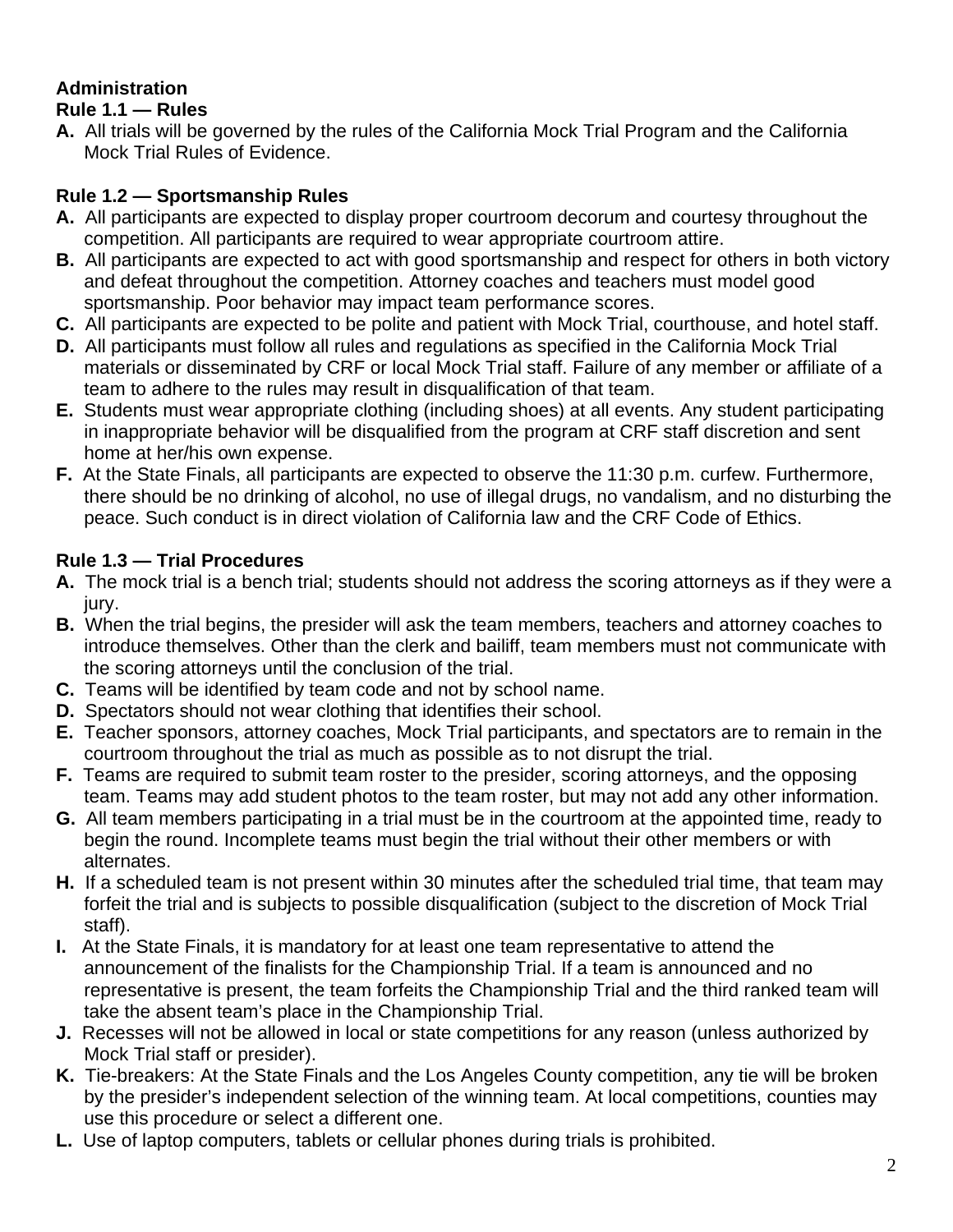## **Administration**

#### **Rule 1.1 — Rules**

**A.** All trials will be governed by the rules of the California Mock Trial Program and the California Mock Trial Rules of Evidence.

#### **Rule 1.2 — Sportsmanship Rules**

- **A.** All participants are expected to display proper courtroom decorum and courtesy throughout the competition. All participants are required to wear appropriate courtroom attire.
- **B.** All participants are expected to act with good sportsmanship and respect for others in both victory and defeat throughout the competition. Attorney coaches and teachers must model good sportsmanship. Poor behavior may impact team performance scores.
- **C.** All participants are expected to be polite and patient with Mock Trial, courthouse, and hotel staff.
- **D.** All participants must follow all rules and regulations as specified in the California Mock Trial materials or disseminated by CRF or local Mock Trial staff. Failure of any member or affiliate of a team to adhere to the rules may result in disqualification of that team.
- **E.** Students must wear appropriate clothing (including shoes) at all events. Any student participating in inappropriate behavior will be disqualified from the program at CRF staff discretion and sent home at her/his own expense.
- **F.** At the State Finals, all participants are expected to observe the 11:30 p.m. curfew. Furthermore, there should be no drinking of alcohol, no use of illegal drugs, no vandalism, and no disturbing the peace. Such conduct is in direct violation of California law and the CRF Code of Ethics.

#### **Rule 1.3 — Trial Procedures**

- **A.** The mock trial is a bench trial; students should not address the scoring attorneys as if they were a jury.
- **B.** When the trial begins, the presider will ask the team members, teachers and attorney coaches to introduce themselves. Other than the clerk and bailiff, team members must not communicate with the scoring attorneys until the conclusion of the trial.
- **C.** Teams will be identified by team code and not by school name.
- **D.** Spectators should not wear clothing that identifies their school.
- **E.** Teacher sponsors, attorney coaches, Mock Trial participants, and spectators are to remain in the courtroom throughout the trial as much as possible as to not disrupt the trial.
- **F.** Teams are required to submit team roster to the presider, scoring attorneys, and the opposing team. Teams may add student photos to the team roster, but may not add any other information.
- **G.** All team members participating in a trial must be in the courtroom at the appointed time, ready to begin the round. Incomplete teams must begin the trial without their other members or with alternates.
- **H.** If a scheduled team is not present within 30 minutes after the scheduled trial time, that team may forfeit the trial and is subjects to possible disqualification (subject to the discretion of Mock Trial staff).
- **I.** At the State Finals, it is mandatory for at least one team representative to attend the announcement of the finalists for the Championship Trial. If a team is announced and no representative is present, the team forfeits the Championship Trial and the third ranked team will take the absent team's place in the Championship Trial.
- **J.** Recesses will not be allowed in local or state competitions for any reason (unless authorized by Mock Trial staff or presider).
- **K.** Tie-breakers: At the State Finals and the Los Angeles County competition, any tie will be broken by the presider's independent selection of the winning team. At local competitions, counties may use this procedure or select a different one.
- **L.** Use of laptop computers, tablets or cellular phones during trials is prohibited.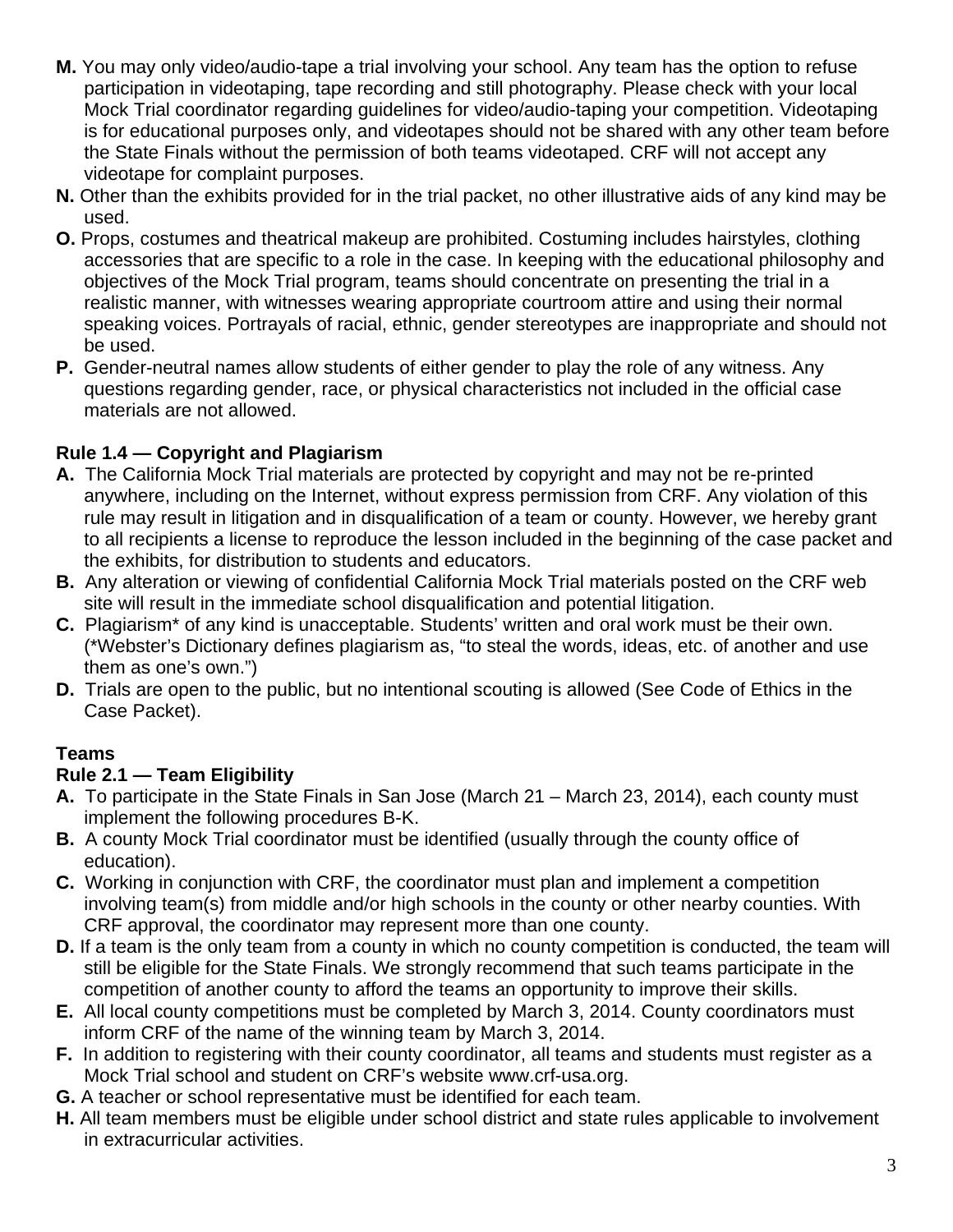- **M.** You may only video/audio-tape a trial involving your school. Any team has the option to refuse participation in videotaping, tape recording and still photography. Please check with your local Mock Trial coordinator regarding guidelines for video/audio-taping your competition. Videotaping is for educational purposes only, and videotapes should not be shared with any other team before the State Finals without the permission of both teams videotaped. CRF will not accept any videotape for complaint purposes.
- **N.** Other than the exhibits provided for in the trial packet, no other illustrative aids of any kind may be used.
- **O.** Props, costumes and theatrical makeup are prohibited. Costuming includes hairstyles, clothing accessories that are specific to a role in the case. In keeping with the educational philosophy and objectives of the Mock Trial program, teams should concentrate on presenting the trial in a realistic manner, with witnesses wearing appropriate courtroom attire and using their normal speaking voices. Portrayals of racial, ethnic, gender stereotypes are inappropriate and should not be used.
- **P.** Gender-neutral names allow students of either gender to play the role of any witness. Any questions regarding gender, race, or physical characteristics not included in the official case materials are not allowed.

## **Rule 1.4 — Copyright and Plagiarism**

- **A.** The California Mock Trial materials are protected by copyright and may not be re-printed anywhere, including on the Internet, without express permission from CRF. Any violation of this rule may result in litigation and in disqualification of a team or county. However, we hereby grant to all recipients a license to reproduce the lesson included in the beginning of the case packet and the exhibits, for distribution to students and educators.
- **B.** Any alteration or viewing of confidential California Mock Trial materials posted on the CRF web site will result in the immediate school disqualification and potential litigation.
- **C.** Plagiarism\* of any kind is unacceptable. Students' written and oral work must be their own. (\*Webster's Dictionary defines plagiarism as, "to steal the words, ideas, etc. of another and use them as one's own.")
- **D.** Trials are open to the public, but no intentional scouting is allowed (See Code of Ethics in the Case Packet).

#### **Teams**

#### **Rule 2.1 — Team Eligibility**

- **A.** To participate in the State Finals in San Jose (March 21 March 23, 2014), each county must implement the following procedures B-K.
- **B.** A county Mock Trial coordinator must be identified (usually through the county office of education).
- **C.** Working in conjunction with CRF, the coordinator must plan and implement a competition involving team(s) from middle and/or high schools in the county or other nearby counties. With CRF approval, the coordinator may represent more than one county.
- **D.** If a team is the only team from a county in which no county competition is conducted, the team will still be eligible for the State Finals. We strongly recommend that such teams participate in the competition of another county to afford the teams an opportunity to improve their skills.
- **E.** All local county competitions must be completed by March 3, 2014. County coordinators must inform CRF of the name of the winning team by March 3, 2014.
- **F.** In addition to registering with their county coordinator, all teams and students must register as a Mock Trial school and student on CRF's website www.crf-usa.org.
- **G.** A teacher or school representative must be identified for each team.
- **H.** All team members must be eligible under school district and state rules applicable to involvement in extracurricular activities.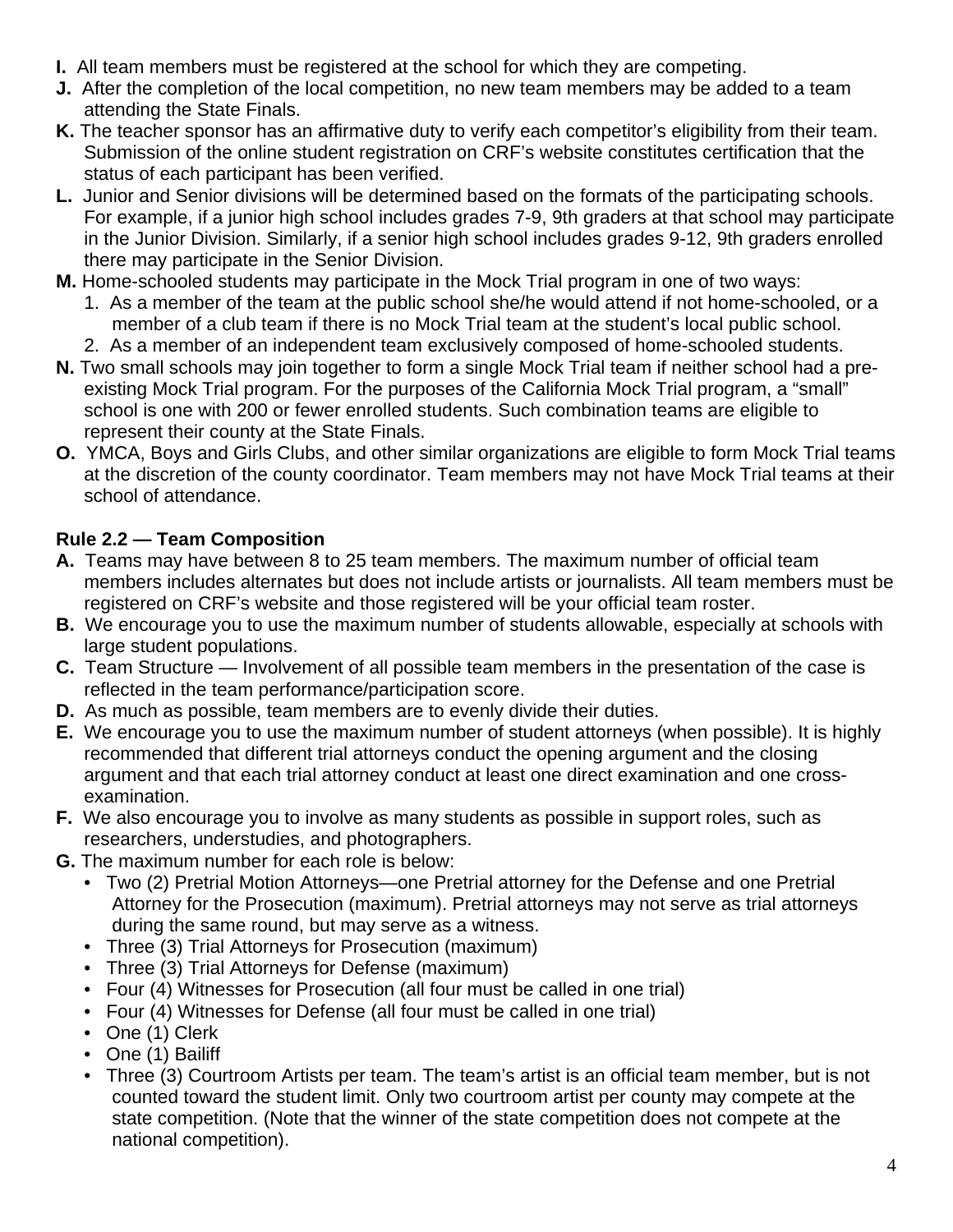- **I.** All team members must be registered at the school for which they are competing.
- **J.** After the completion of the local competition, no new team members may be added to a team attending the State Finals.
- **K.** The teacher sponsor has an affirmative duty to verify each competitor's eligibility from their team. Submission of the online student registration on CRF's website constitutes certification that the status of each participant has been verified.
- **L.** Junior and Senior divisions will be determined based on the formats of the participating schools. For example, if a junior high school includes grades 7-9, 9th graders at that school may participate in the Junior Division. Similarly, if a senior high school includes grades 9-12, 9th graders enrolled there may participate in the Senior Division.
- **M.** Home-schooled students may participate in the Mock Trial program in one of two ways:
	- 1. As a member of the team at the public school she/he would attend if not home-schooled, or a member of a club team if there is no Mock Trial team at the student's local public school.
	- 2. As a member of an independent team exclusively composed of home-schooled students.
- **N.** Two small schools may join together to form a single Mock Trial team if neither school had a preexisting Mock Trial program. For the purposes of the California Mock Trial program, a "small" school is one with 200 or fewer enrolled students. Such combination teams are eligible to represent their county at the State Finals.
- **O.** YMCA, Boys and Girls Clubs, and other similar organizations are eligible to form Mock Trial teams at the discretion of the county coordinator. Team members may not have Mock Trial teams at their school of attendance.

#### **Rule 2.2 — Team Composition**

- **A.** Teams may have between 8 to 25 team members. The maximum number of official team members includes alternates but does not include artists or journalists. All team members must be registered on CRF's website and those registered will be your official team roster.
- **B.** We encourage you to use the maximum number of students allowable, especially at schools with large student populations.
- **C.** Team Structure Involvement of all possible team members in the presentation of the case is reflected in the team performance/participation score.
- **D.** As much as possible, team members are to evenly divide their duties.
- **E.** We encourage you to use the maximum number of student attorneys (when possible). It is highly recommended that different trial attorneys conduct the opening argument and the closing argument and that each trial attorney conduct at least one direct examination and one crossexamination.
- **F.** We also encourage you to involve as many students as possible in support roles, such as researchers, understudies, and photographers.
- **G.** The maximum number for each role is below:
	- Two (2) Pretrial Motion Attorneys—one Pretrial attorney for the Defense and one Pretrial Attorney for the Prosecution (maximum). Pretrial attorneys may not serve as trial attorneys during the same round, but may serve as a witness.
	- Three (3) Trial Attorneys for Prosecution (maximum)
	- Three (3) Trial Attorneys for Defense (maximum)
	- Four (4) Witnesses for Prosecution (all four must be called in one trial)
	- Four (4) Witnesses for Defense (all four must be called in one trial)
	- One (1) Clerk
	- One (1) Bailiff
	- Three (3) Courtroom Artists per team. The team's artist is an official team member, but is not counted toward the student limit. Only two courtroom artist per county may compete at the state competition. (Note that the winner of the state competition does not compete at the national competition).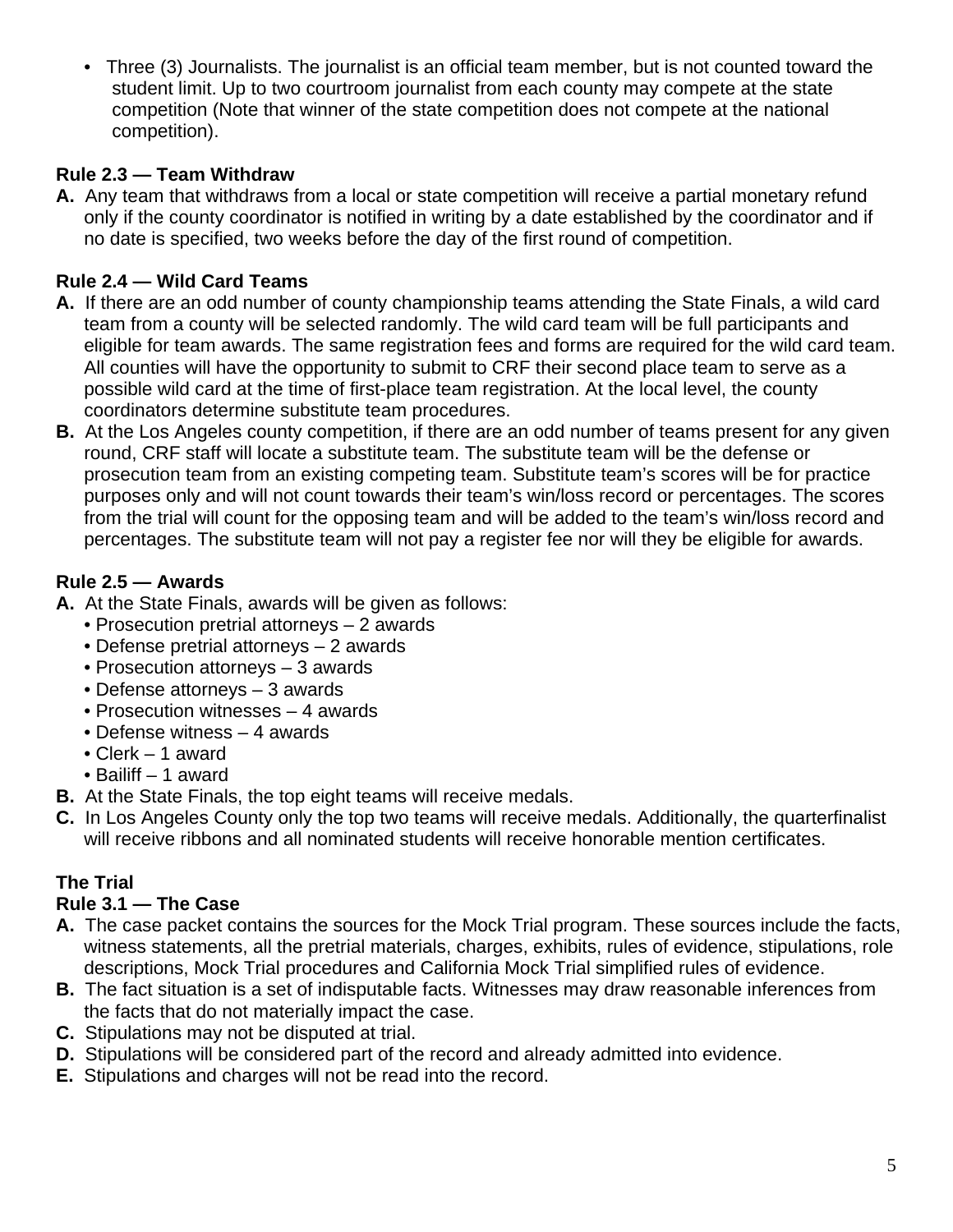• Three (3) Journalists. The journalist is an official team member, but is not counted toward the student limit. Up to two courtroom journalist from each county may compete at the state competition (Note that winner of the state competition does not compete at the national competition).

#### **Rule 2.3 — Team Withdraw**

**A.** Any team that withdraws from a local or state competition will receive a partial monetary refund only if the county coordinator is notified in writing by a date established by the coordinator and if no date is specified, two weeks before the day of the first round of competition.

## **Rule 2.4 — Wild Card Teams**

- **A.** If there are an odd number of county championship teams attending the State Finals, a wild card team from a county will be selected randomly. The wild card team will be full participants and eligible for team awards. The same registration fees and forms are required for the wild card team. All counties will have the opportunity to submit to CRF their second place team to serve as a possible wild card at the time of first-place team registration. At the local level, the county coordinators determine substitute team procedures.
- **B.** At the Los Angeles county competition, if there are an odd number of teams present for any given round, CRF staff will locate a substitute team. The substitute team will be the defense or prosecution team from an existing competing team. Substitute team's scores will be for practice purposes only and will not count towards their team's win/loss record or percentages. The scores from the trial will count for the opposing team and will be added to the team's win/loss record and percentages. The substitute team will not pay a register fee nor will they be eligible for awards.

#### **Rule 2.5 — Awards**

- **A.** At the State Finals, awards will be given as follows:
	- Prosecution pretrial attorneys 2 awards
	- Defense pretrial attorneys 2 awards
	- Prosecution attorneys 3 awards
	- Defense attorneys 3 awards
	- Prosecution witnesses 4 awards
	- Defense witness 4 awards
	- Clerk 1 award
	- Bailiff 1 award
- **B.** At the State Finals, the top eight teams will receive medals.
- **C.** In Los Angeles County only the top two teams will receive medals. Additionally, the quarterfinalist will receive ribbons and all nominated students will receive honorable mention certificates.

#### **The Trial**

#### **Rule 3.1 — The Case**

- **A.** The case packet contains the sources for the Mock Trial program. These sources include the facts, witness statements, all the pretrial materials, charges, exhibits, rules of evidence, stipulations, role descriptions, Mock Trial procedures and California Mock Trial simplified rules of evidence.
- **B.** The fact situation is a set of indisputable facts. Witnesses may draw reasonable inferences from the facts that do not materially impact the case.
- **C.** Stipulations may not be disputed at trial.
- **D.** Stipulations will be considered part of the record and already admitted into evidence.
- **E.** Stipulations and charges will not be read into the record.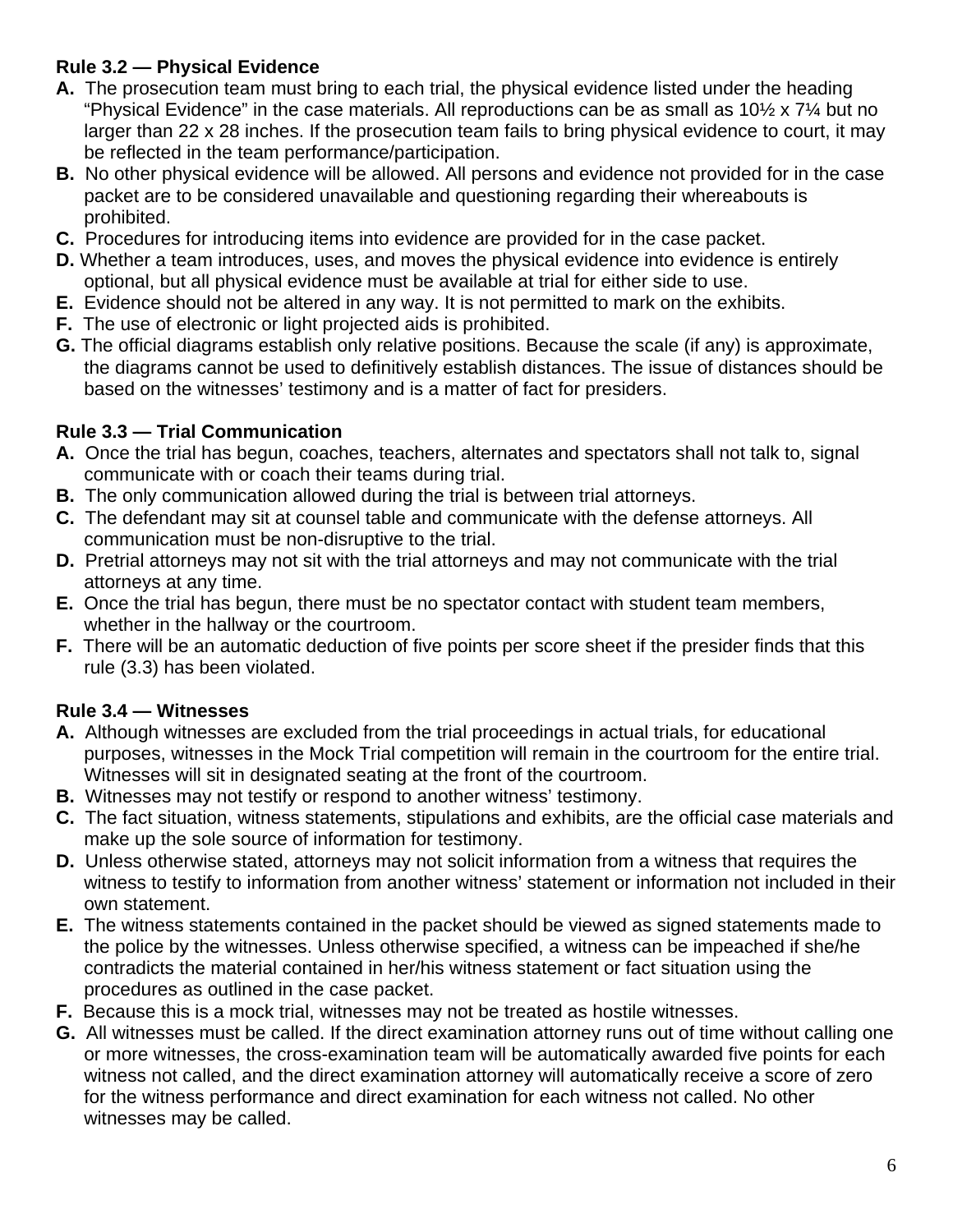## **Rule 3.2 — Physical Evidence**

- **A.** The prosecution team must bring to each trial, the physical evidence listed under the heading "Physical Evidence" in the case materials. All reproductions can be as small as  $10\frac{1}{2} \times 7\frac{1}{4}$  but no larger than 22 x 28 inches. If the prosecution team fails to bring physical evidence to court, it may be reflected in the team performance/participation.
- **B.** No other physical evidence will be allowed. All persons and evidence not provided for in the case packet are to be considered unavailable and questioning regarding their whereabouts is prohibited.
- **C.** Procedures for introducing items into evidence are provided for in the case packet.
- **D.** Whether a team introduces, uses, and moves the physical evidence into evidence is entirely optional, but all physical evidence must be available at trial for either side to use.
- **E.** Evidence should not be altered in any way. It is not permitted to mark on the exhibits.
- **F.** The use of electronic or light projected aids is prohibited.
- **G.** The official diagrams establish only relative positions. Because the scale (if any) is approximate, the diagrams cannot be used to definitively establish distances. The issue of distances should be based on the witnesses' testimony and is a matter of fact for presiders.

#### **Rule 3.3 — Trial Communication**

- **A.** Once the trial has begun, coaches, teachers, alternates and spectators shall not talk to, signal communicate with or coach their teams during trial.
- **B.** The only communication allowed during the trial is between trial attorneys.
- **C.** The defendant may sit at counsel table and communicate with the defense attorneys. All communication must be non-disruptive to the trial.
- **D.** Pretrial attorneys may not sit with the trial attorneys and may not communicate with the trial attorneys at any time.
- **E.** Once the trial has begun, there must be no spectator contact with student team members, whether in the hallway or the courtroom.
- **F.** There will be an automatic deduction of five points per score sheet if the presider finds that this rule (3.3) has been violated.

#### **Rule 3.4 — Witnesses**

- **A.** Although witnesses are excluded from the trial proceedings in actual trials, for educational purposes, witnesses in the Mock Trial competition will remain in the courtroom for the entire trial. Witnesses will sit in designated seating at the front of the courtroom.
- **B.** Witnesses may not testify or respond to another witness' testimony.
- **C.** The fact situation, witness statements, stipulations and exhibits, are the official case materials and make up the sole source of information for testimony.
- **D.** Unless otherwise stated, attorneys may not solicit information from a witness that requires the witness to testify to information from another witness' statement or information not included in their own statement.
- **E.** The witness statements contained in the packet should be viewed as signed statements made to the police by the witnesses. Unless otherwise specified, a witness can be impeached if she/he contradicts the material contained in her/his witness statement or fact situation using the procedures as outlined in the case packet.
- **F.** Because this is a mock trial, witnesses may not be treated as hostile witnesses.
- **G.** All witnesses must be called. If the direct examination attorney runs out of time without calling one or more witnesses, the cross-examination team will be automatically awarded five points for each witness not called, and the direct examination attorney will automatically receive a score of zero for the witness performance and direct examination for each witness not called. No other witnesses may be called.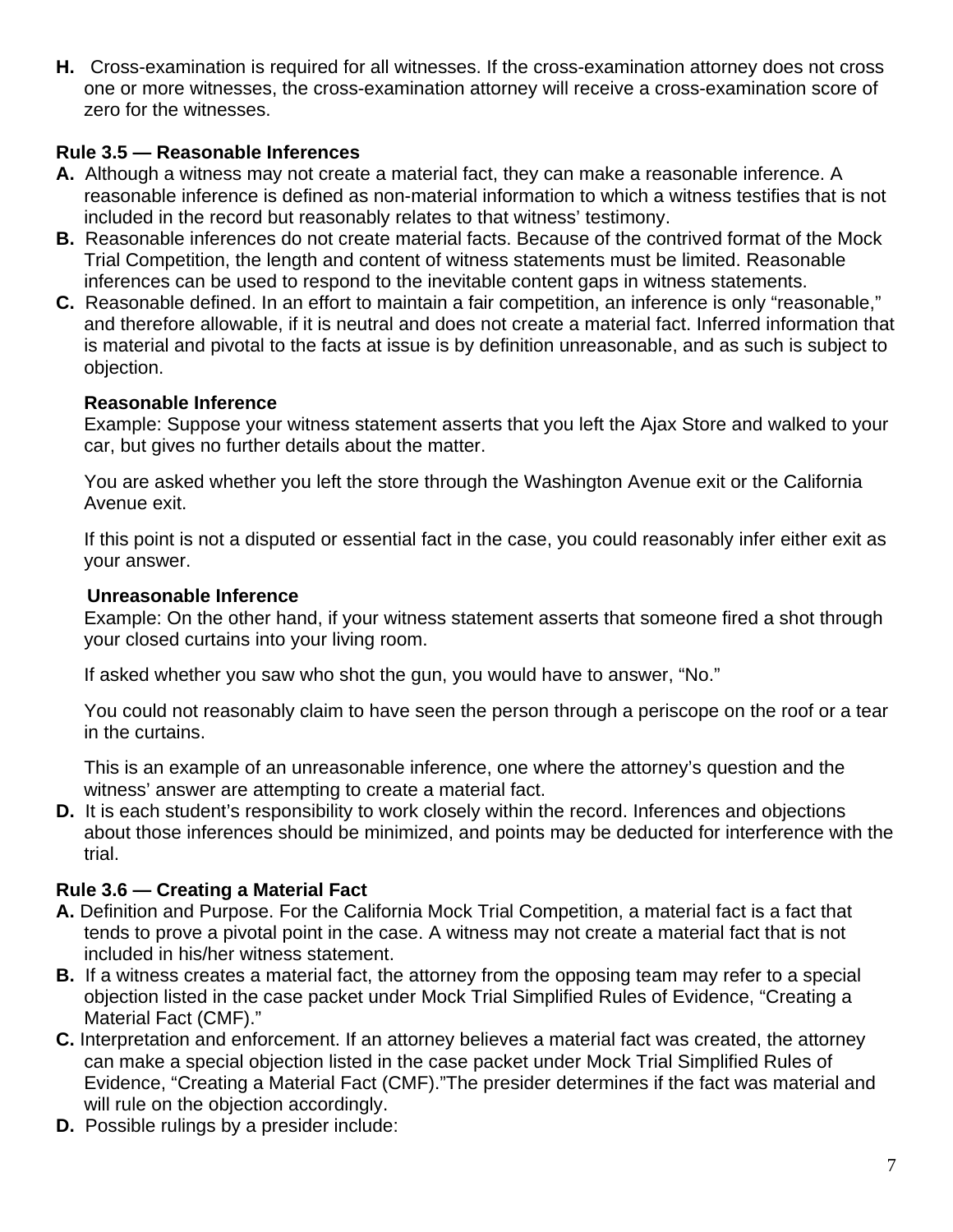**H.** Cross-examination is required for all witnesses. If the cross-examination attorney does not cross one or more witnesses, the cross-examination attorney will receive a cross-examination score of zero for the witnesses.

#### **Rule 3.5 — Reasonable Inferences**

- **A.** Although a witness may not create a material fact, they can make a reasonable inference. A reasonable inference is defined as non-material information to which a witness testifies that is not included in the record but reasonably relates to that witness' testimony.
- **B.** Reasonable inferences do not create material facts. Because of the contrived format of the Mock Trial Competition, the length and content of witness statements must be limited. Reasonable inferences can be used to respond to the inevitable content gaps in witness statements.
- **C.** Reasonable defined. In an effort to maintain a fair competition, an inference is only "reasonable," and therefore allowable, if it is neutral and does not create a material fact. Inferred information that is material and pivotal to the facts at issue is by definition unreasonable, and as such is subject to objection.

#### **Reasonable Inference**

Example: Suppose your witness statement asserts that you left the Ajax Store and walked to your car, but gives no further details about the matter.

You are asked whether you left the store through the Washington Avenue exit or the California Avenue exit.

If this point is not a disputed or essential fact in the case, you could reasonably infer either exit as your answer.

#### **Unreasonable Inference**

Example: On the other hand, if your witness statement asserts that someone fired a shot through your closed curtains into your living room.

If asked whether you saw who shot the gun, you would have to answer, "No."

You could not reasonably claim to have seen the person through a periscope on the roof or a tear in the curtains.

This is an example of an unreasonable inference, one where the attorney's question and the witness' answer are attempting to create a material fact.

**D.** It is each student's responsibility to work closely within the record. Inferences and objections about those inferences should be minimized, and points may be deducted for interference with the trial.

#### **Rule 3.6 — Creating a Material Fact**

- **A.** Definition and Purpose. For the California Mock Trial Competition, a material fact is a fact that tends to prove a pivotal point in the case. A witness may not create a material fact that is not included in his/her witness statement.
- **B.** If a witness creates a material fact, the attorney from the opposing team may refer to a special objection listed in the case packet under Mock Trial Simplified Rules of Evidence, "Creating a Material Fact (CMF)."
- **C.** Interpretation and enforcement. If an attorney believes a material fact was created, the attorney can make a special objection listed in the case packet under Mock Trial Simplified Rules of Evidence, "Creating a Material Fact (CMF)."The presider determines if the fact was material and will rule on the objection accordingly.
- **D.** Possible rulings by a presider include: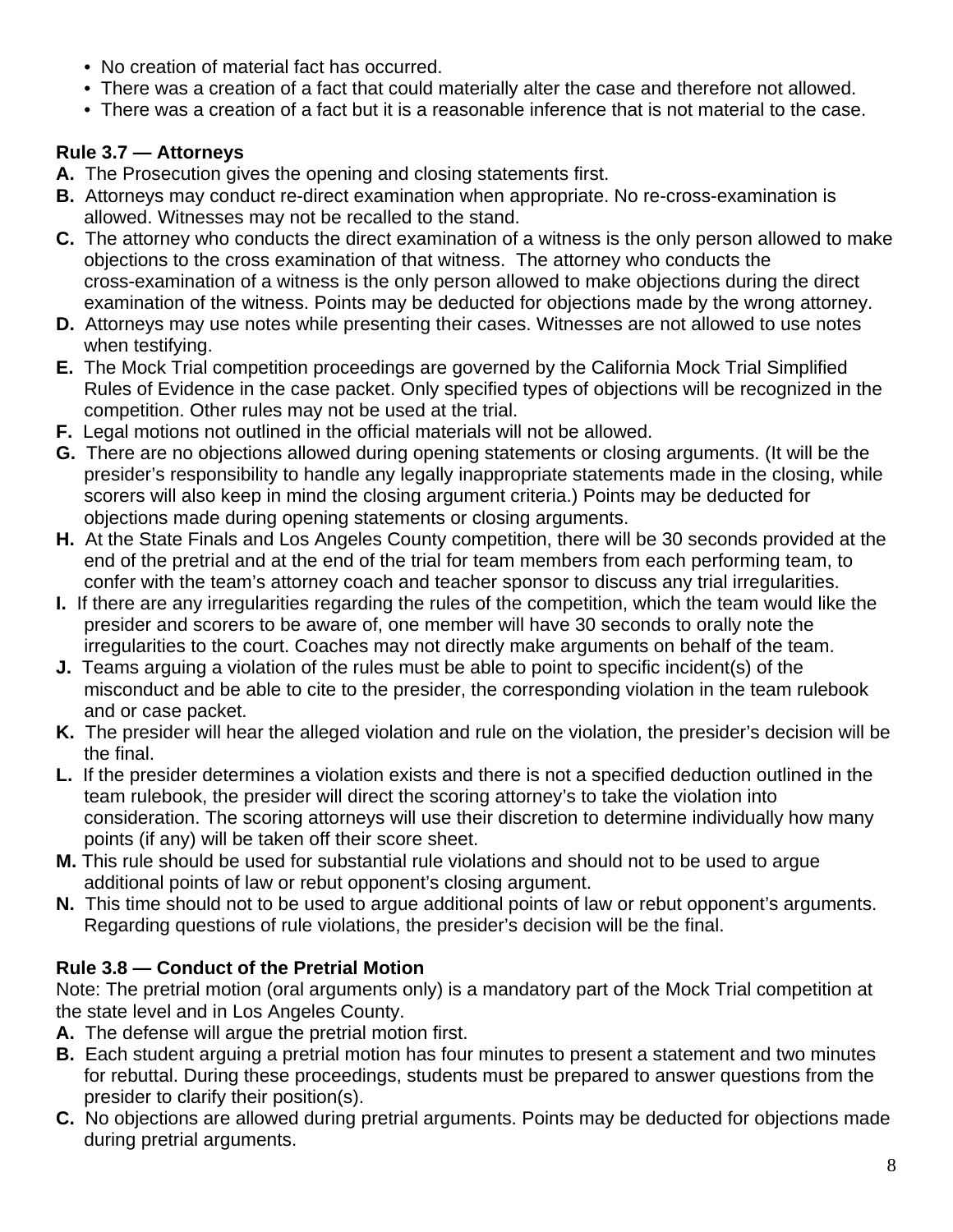- No creation of material fact has occurred.
- There was a creation of a fact that could materially alter the case and therefore not allowed.
- There was a creation of a fact but it is a reasonable inference that is not material to the case.

## **Rule 3.7 — Attorneys**

- **A.** The Prosecution gives the opening and closing statements first.
- **B.** Attorneys may conduct re-direct examination when appropriate. No re-cross-examination is allowed. Witnesses may not be recalled to the stand.
- **C.** The attorney who conducts the direct examination of a witness is the only person allowed to make objections to the cross examination of that witness. The attorney who conducts the cross-examination of a witness is the only person allowed to make objections during the direct examination of the witness. Points may be deducted for objections made by the wrong attorney.
- **D.** Attorneys may use notes while presenting their cases. Witnesses are not allowed to use notes when testifying.
- **E.** The Mock Trial competition proceedings are governed by the California Mock Trial Simplified Rules of Evidence in the case packet. Only specified types of objections will be recognized in the competition. Other rules may not be used at the trial.
- **F.** Legal motions not outlined in the official materials will not be allowed.
- **G.** There are no objections allowed during opening statements or closing arguments. (It will be the presider's responsibility to handle any legally inappropriate statements made in the closing, while scorers will also keep in mind the closing argument criteria.) Points may be deducted for objections made during opening statements or closing arguments.
- **H.** At the State Finals and Los Angeles County competition, there will be 30 seconds provided at the end of the pretrial and at the end of the trial for team members from each performing team, to confer with the team's attorney coach and teacher sponsor to discuss any trial irregularities.
- **I.** If there are any irregularities regarding the rules of the competition, which the team would like the presider and scorers to be aware of, one member will have 30 seconds to orally note the irregularities to the court. Coaches may not directly make arguments on behalf of the team.
- **J.** Teams arguing a violation of the rules must be able to point to specific incident(s) of the misconduct and be able to cite to the presider, the corresponding violation in the team rulebook and or case packet.
- **K.** The presider will hear the alleged violation and rule on the violation, the presider's decision will be the final.
- **L.** If the presider determines a violation exists and there is not a specified deduction outlined in the team rulebook, the presider will direct the scoring attorney's to take the violation into consideration. The scoring attorneys will use their discretion to determine individually how many points (if any) will be taken off their score sheet.
- **M.** This rule should be used for substantial rule violations and should not to be used to argue additional points of law or rebut opponent's closing argument.
- **N.** This time should not to be used to argue additional points of law or rebut opponent's arguments. Regarding questions of rule violations, the presider's decision will be the final.

## **Rule 3.8 — Conduct of the Pretrial Motion**

Note: The pretrial motion (oral arguments only) is a mandatory part of the Mock Trial competition at the state level and in Los Angeles County.

- **A.** The defense will argue the pretrial motion first.
- **B.** Each student arguing a pretrial motion has four minutes to present a statement and two minutes for rebuttal. During these proceedings, students must be prepared to answer questions from the presider to clarify their position(s).
- **C.** No objections are allowed during pretrial arguments. Points may be deducted for objections made during pretrial arguments.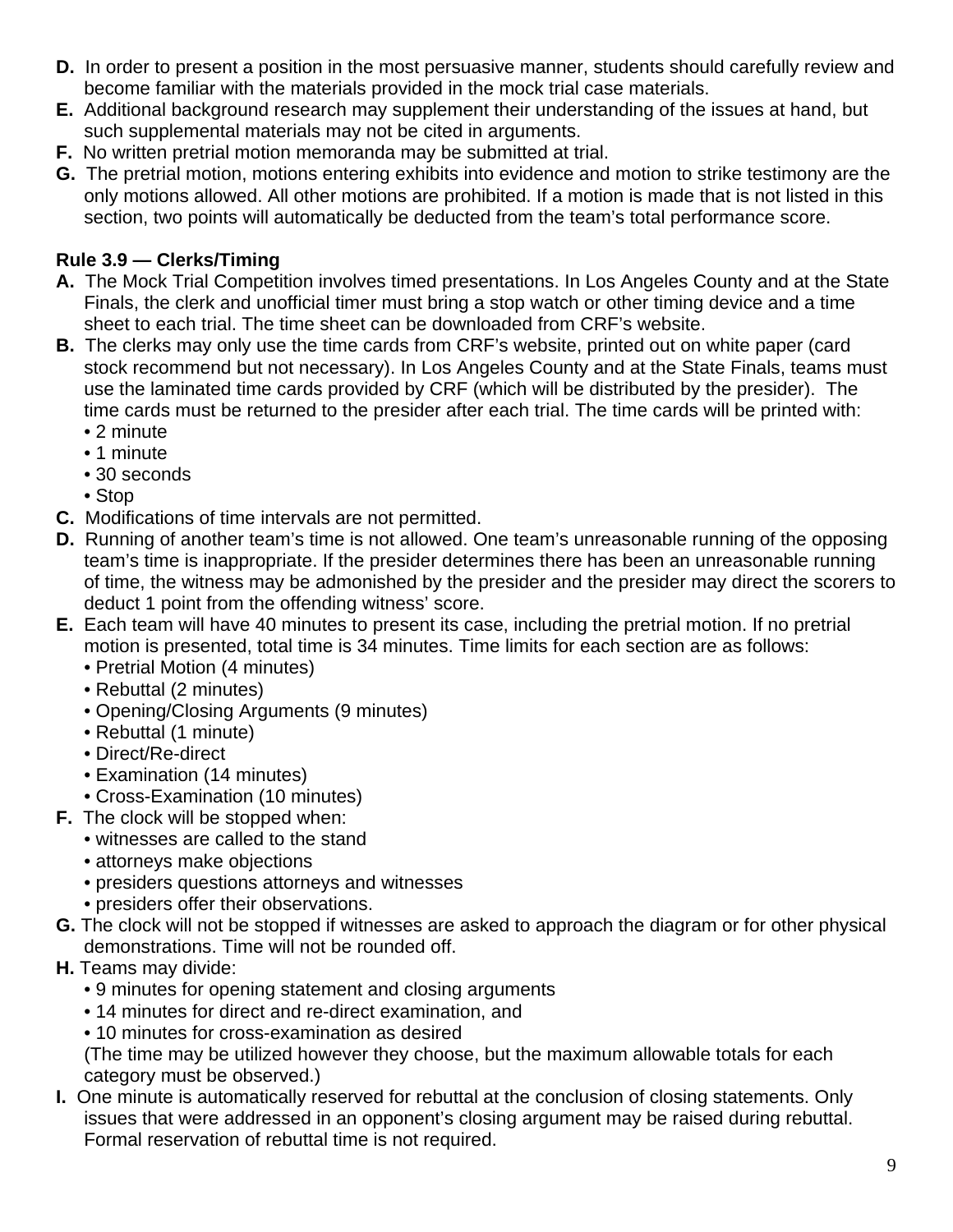- **D.** In order to present a position in the most persuasive manner, students should carefully review and become familiar with the materials provided in the mock trial case materials.
- **E.** Additional background research may supplement their understanding of the issues at hand, but such supplemental materials may not be cited in arguments.
- **F.** No written pretrial motion memoranda may be submitted at trial.
- **G.** The pretrial motion, motions entering exhibits into evidence and motion to strike testimony are the only motions allowed. All other motions are prohibited. If a motion is made that is not listed in this section, two points will automatically be deducted from the team's total performance score.

#### **Rule 3.9 — Clerks/Timing**

- **A.** The Mock Trial Competition involves timed presentations. In Los Angeles County and at the State Finals, the clerk and unofficial timer must bring a stop watch or other timing device and a time sheet to each trial. The time sheet can be downloaded from CRF's website.
- **B.** The clerks may only use the time cards from CRF's website, printed out on white paper (card stock recommend but not necessary). In Los Angeles County and at the State Finals, teams must use the laminated time cards provided by CRF (which will be distributed by the presider). The time cards must be returned to the presider after each trial. The time cards will be printed with:
	- 2 minute
	- 1 minute
	- 30 seconds
	- Stop
- **C.** Modifications of time intervals are not permitted.
- **D.** Running of another team's time is not allowed. One team's unreasonable running of the opposing team's time is inappropriate. If the presider determines there has been an unreasonable running of time, the witness may be admonished by the presider and the presider may direct the scorers to deduct 1 point from the offending witness' score.
- **E.** Each team will have 40 minutes to present its case, including the pretrial motion. If no pretrial motion is presented, total time is 34 minutes. Time limits for each section are as follows:
	- Pretrial Motion (4 minutes)
	- Rebuttal (2 minutes)
	- Opening/Closing Arguments (9 minutes)
	- Rebuttal (1 minute)
	- Direct/Re-direct
	- Examination (14 minutes)
	- Cross-Examination (10 minutes)
- **F.** The clock will be stopped when:
	- witnesses are called to the stand
	- attorneys make objections
	- presiders questions attorneys and witnesses
	- presiders offer their observations.
- **G.** The clock will not be stopped if witnesses are asked to approach the diagram or for other physical demonstrations. Time will not be rounded off.
- **H.** Teams may divide:
	- 9 minutes for opening statement and closing arguments
	- 14 minutes for direct and re-direct examination, and
	- 10 minutes for cross-examination as desired

(The time may be utilized however they choose, but the maximum allowable totals for each category must be observed.)

**I.** One minute is automatically reserved for rebuttal at the conclusion of closing statements. Only issues that were addressed in an opponent's closing argument may be raised during rebuttal. Formal reservation of rebuttal time is not required.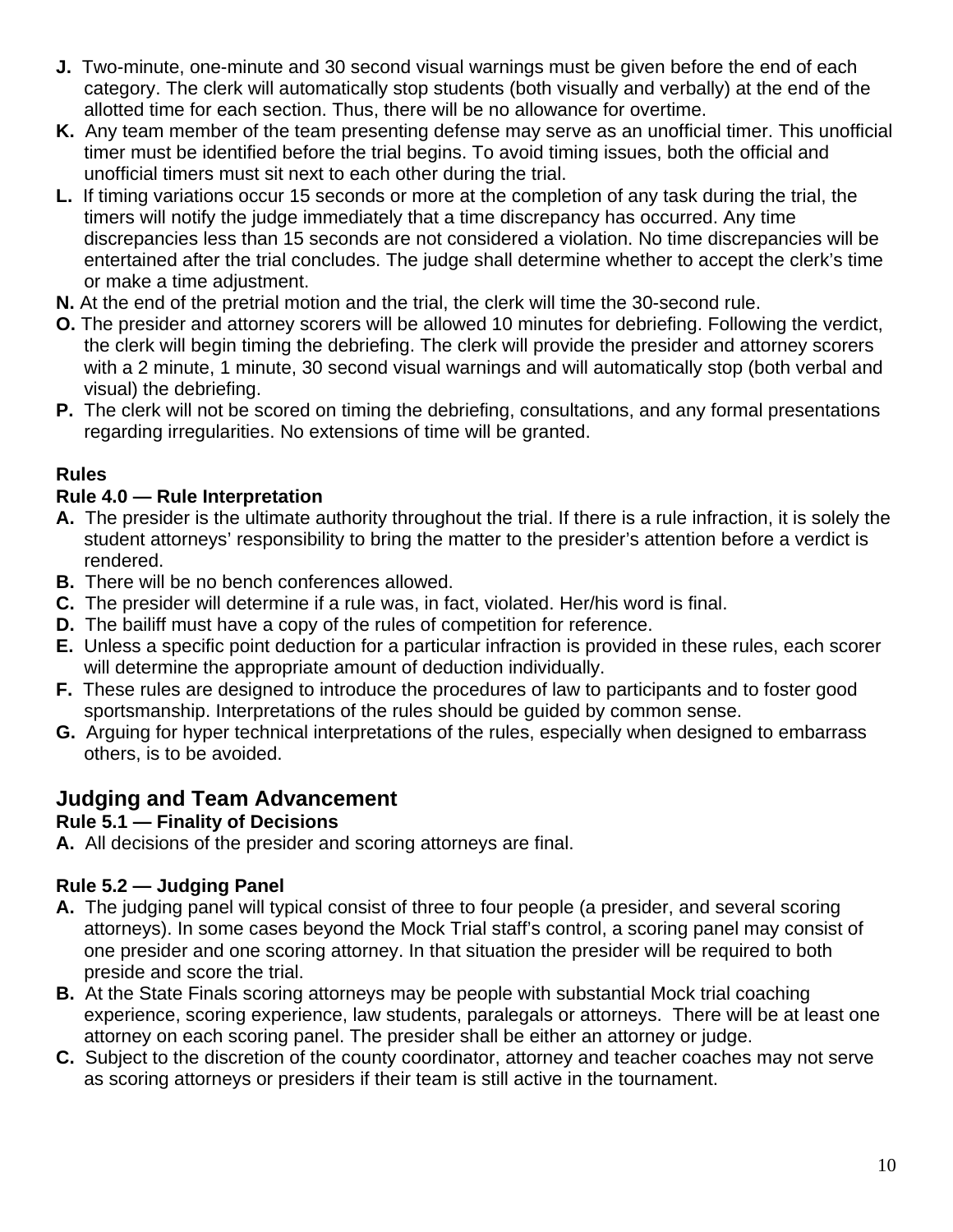- **J.** Two-minute, one-minute and 30 second visual warnings must be given before the end of each category. The clerk will automatically stop students (both visually and verbally) at the end of the allotted time for each section. Thus, there will be no allowance for overtime.
- **K.** Any team member of the team presenting defense may serve as an unofficial timer. This unofficial timer must be identified before the trial begins. To avoid timing issues, both the official and unofficial timers must sit next to each other during the trial.
- **L.** If timing variations occur 15 seconds or more at the completion of any task during the trial, the timers will notify the judge immediately that a time discrepancy has occurred. Any time discrepancies less than 15 seconds are not considered a violation. No time discrepancies will be entertained after the trial concludes. The judge shall determine whether to accept the clerk's time or make a time adjustment.
- **N.** At the end of the pretrial motion and the trial, the clerk will time the 30-second rule.
- **O.** The presider and attorney scorers will be allowed 10 minutes for debriefing. Following the verdict, the clerk will begin timing the debriefing. The clerk will provide the presider and attorney scorers with a 2 minute, 1 minute, 30 second visual warnings and will automatically stop (both verbal and visual) the debriefing.
- **P.** The clerk will not be scored on timing the debriefing, consultations, and any formal presentations regarding irregularities. No extensions of time will be granted.

## **Rules**

## **Rule 4.0 — Rule Interpretation**

- **A.** The presider is the ultimate authority throughout the trial. If there is a rule infraction, it is solely the student attorneys' responsibility to bring the matter to the presider's attention before a verdict is rendered.
- **B.** There will be no bench conferences allowed.
- **C.** The presider will determine if a rule was, in fact, violated. Her/his word is final.
- **D.** The bailiff must have a copy of the rules of competition for reference.
- **E.** Unless a specific point deduction for a particular infraction is provided in these rules, each scorer will determine the appropriate amount of deduction individually.
- **F.** These rules are designed to introduce the procedures of law to participants and to foster good sportsmanship. Interpretations of the rules should be guided by common sense.
- **G.** Arguing for hyper technical interpretations of the rules, especially when designed to embarrass others, is to be avoided.

## **Judging and Team Advancement**

#### **Rule 5.1 — Finality of Decisions**

**A.** All decisions of the presider and scoring attorneys are final.

## **Rule 5.2 — Judging Panel**

- **A.** The judging panel will typical consist of three to four people (a presider, and several scoring attorneys). In some cases beyond the Mock Trial staff's control, a scoring panel may consist of one presider and one scoring attorney. In that situation the presider will be required to both preside and score the trial.
- **B.** At the State Finals scoring attorneys may be people with substantial Mock trial coaching experience, scoring experience, law students, paralegals or attorneys. There will be at least one attorney on each scoring panel. The presider shall be either an attorney or judge.
- **C.** Subject to the discretion of the county coordinator, attorney and teacher coaches may not serve as scoring attorneys or presiders if their team is still active in the tournament.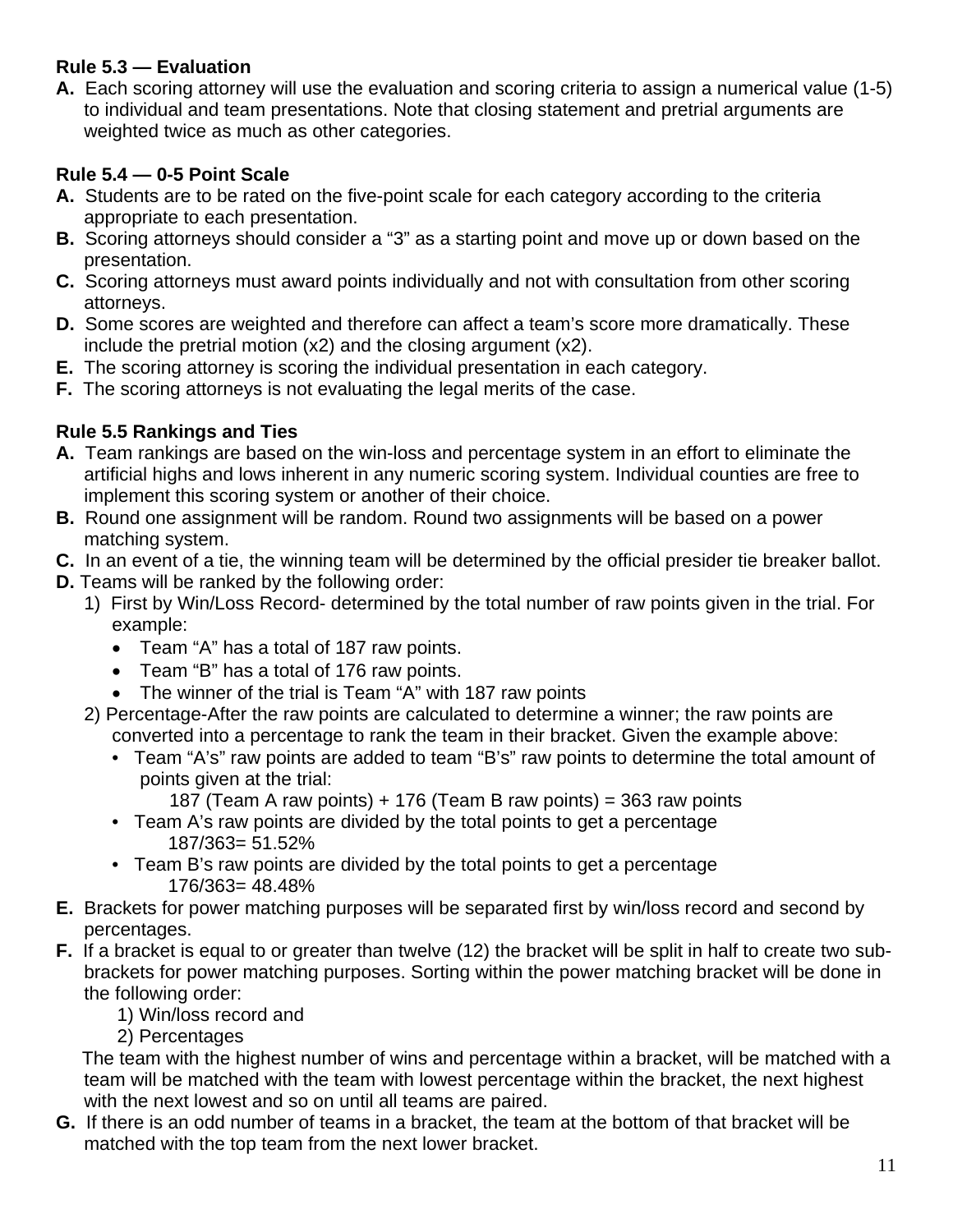#### **Rule 5.3 — Evaluation**

**A.** Each scoring attorney will use the evaluation and scoring criteria to assign a numerical value (1-5) to individual and team presentations. Note that closing statement and pretrial arguments are weighted twice as much as other categories.

#### **Rule 5.4 — 0-5 Point Scale**

- **A.** Students are to be rated on the five-point scale for each category according to the criteria appropriate to each presentation.
- **B.** Scoring attorneys should consider a "3" as a starting point and move up or down based on the presentation.
- **C.** Scoring attorneys must award points individually and not with consultation from other scoring attorneys.
- **D.** Some scores are weighted and therefore can affect a team's score more dramatically. These include the pretrial motion (x2) and the closing argument (x2).
- **E.** The scoring attorney is scoring the individual presentation in each category.
- **F.** The scoring attorneys is not evaluating the legal merits of the case.

#### **Rule 5.5 Rankings and Ties**

- **A.** Team rankings are based on the win-loss and percentage system in an effort to eliminate the artificial highs and lows inherent in any numeric scoring system. Individual counties are free to implement this scoring system or another of their choice.
- **B.** Round one assignment will be random. Round two assignments will be based on a power matching system.
- **C.** In an event of a tie, the winning team will be determined by the official presider tie breaker ballot.
- **D.** Teams will be ranked by the following order:
	- 1) First by Win/Loss Record- determined by the total number of raw points given in the trial. For example:
		- Team "A" has a total of 187 raw points.
		- Team "B" has a total of 176 raw points.
		- The winner of the trial is Team "A" with 187 raw points
	- 2) Percentage-After the raw points are calculated to determine a winner; the raw points are converted into a percentage to rank the team in their bracket. Given the example above:
		- Team "A's" raw points are added to team "B's" raw points to determine the total amount of points given at the trial:
			- 187 (Team A raw points) + 176 (Team B raw points) = 363 raw points
		- Team A's raw points are divided by the total points to get a percentage 187/363= 51.52%
		- Team B's raw points are divided by the total points to get a percentage 176/363= 48.48%
- **E.** Brackets for power matching purposes will be separated first by win/loss record and second by percentages.
- **F.** If a bracket is equal to or greater than twelve (12) the bracket will be split in half to create two subbrackets for power matching purposes. Sorting within the power matching bracket will be done in the following order:
	- 1) Win/loss record and
	- 2) Percentages

 The team with the highest number of wins and percentage within a bracket, will be matched with a team will be matched with the team with lowest percentage within the bracket, the next highest with the next lowest and so on until all teams are paired.

**G.** If there is an odd number of teams in a bracket, the team at the bottom of that bracket will be matched with the top team from the next lower bracket.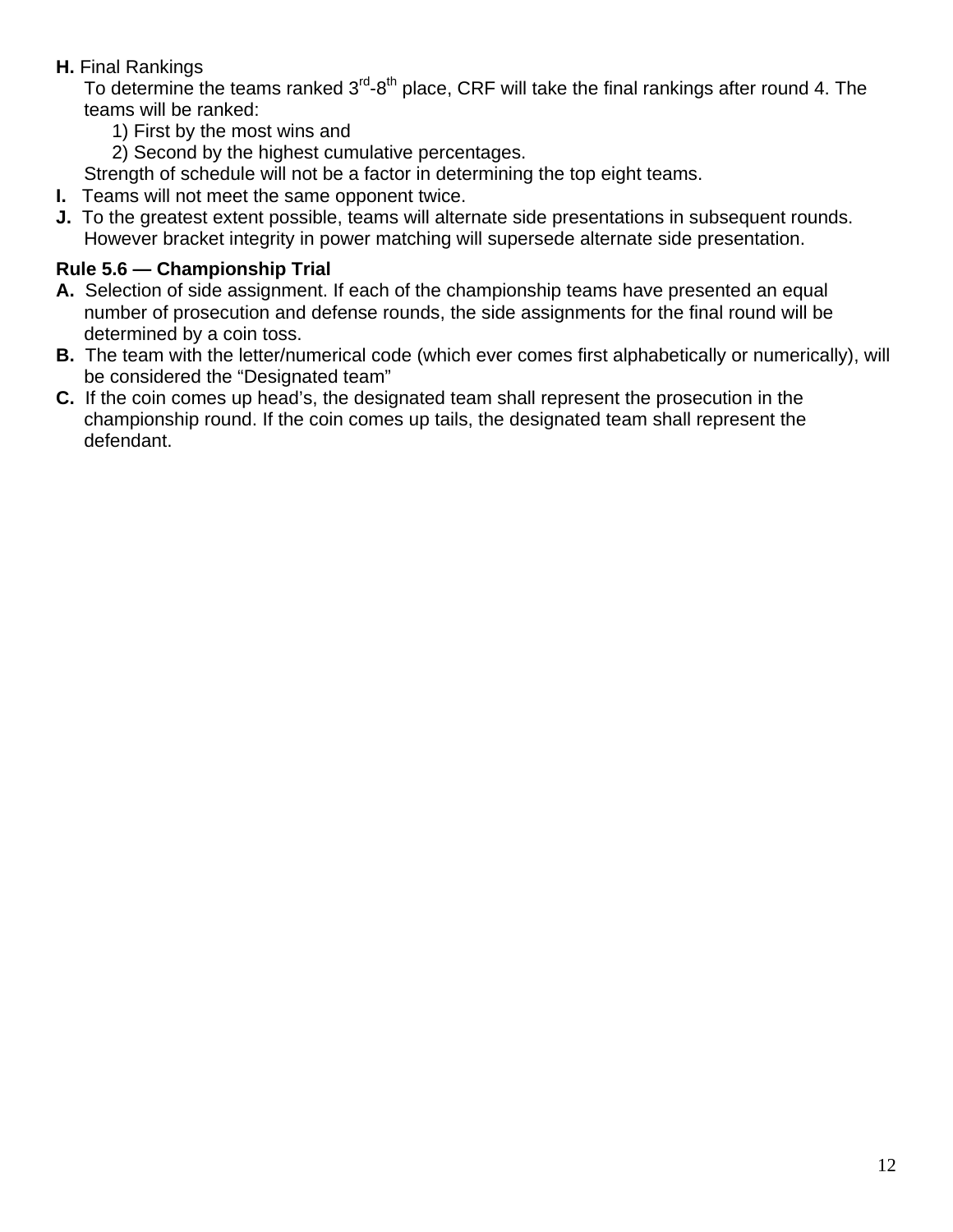#### **H.** Final Rankings

To determine the teams ranked  $3<sup>rd</sup>-8<sup>th</sup>$  place, CRF will take the final rankings after round 4. The teams will be ranked:

1) First by the most wins and

2) Second by the highest cumulative percentages.

Strength of schedule will not be a factor in determining the top eight teams.

- **I.** Teams will not meet the same opponent twice.
- **J.** To the greatest extent possible, teams will alternate side presentations in subsequent rounds. However bracket integrity in power matching will supersede alternate side presentation.

## **Rule 5.6 — Championship Trial**

- **A.** Selection of side assignment. If each of the championship teams have presented an equal number of prosecution and defense rounds, the side assignments for the final round will be determined by a coin toss.
- **B.** The team with the letter/numerical code (which ever comes first alphabetically or numerically), will be considered the "Designated team"
- **C.** If the coin comes up head's, the designated team shall represent the prosecution in the championship round. If the coin comes up tails, the designated team shall represent the defendant.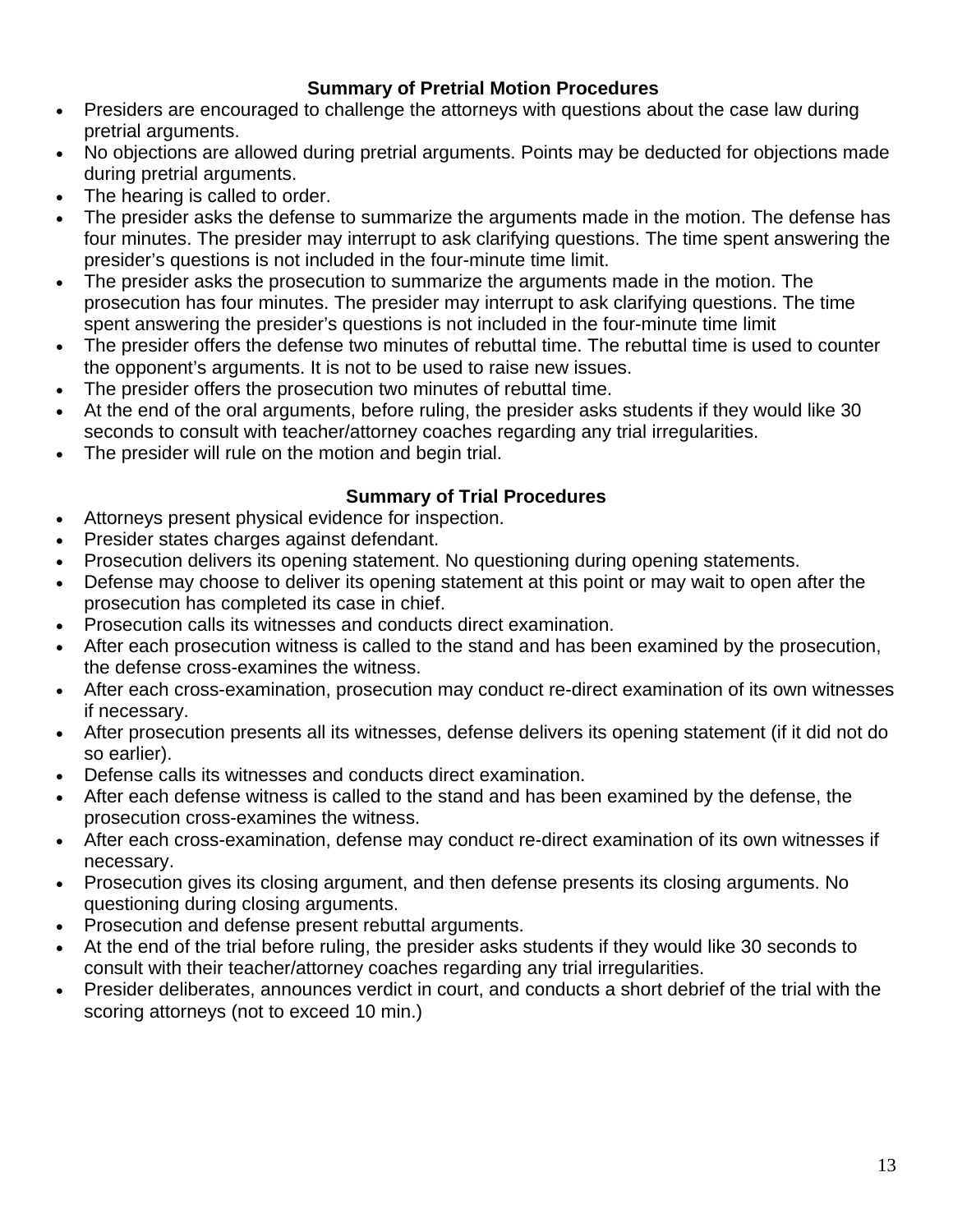#### **Summary of Pretrial Motion Procedures**

- Presiders are encouraged to challenge the attorneys with questions about the case law during pretrial arguments.
- No objections are allowed during pretrial arguments. Points may be deducted for objections made during pretrial arguments.
- The hearing is called to order.
- The presider asks the defense to summarize the arguments made in the motion. The defense has four minutes. The presider may interrupt to ask clarifying questions. The time spent answering the presider's questions is not included in the four-minute time limit.
- The presider asks the prosecution to summarize the arguments made in the motion. The prosecution has four minutes. The presider may interrupt to ask clarifying questions. The time spent answering the presider's questions is not included in the four-minute time limit
- The presider offers the defense two minutes of rebuttal time. The rebuttal time is used to counter the opponent's arguments. It is not to be used to raise new issues.
- The presider offers the prosecution two minutes of rebuttal time.
- At the end of the oral arguments, before ruling, the presider asks students if they would like 30 seconds to consult with teacher/attorney coaches regarding any trial irregularities.
- The presider will rule on the motion and begin trial.

#### **Summary of Trial Procedures**

- Attorneys present physical evidence for inspection.
- Presider states charges against defendant.
- Prosecution delivers its opening statement. No questioning during opening statements.
- Defense may choose to deliver its opening statement at this point or may wait to open after the prosecution has completed its case in chief.
- Prosecution calls its witnesses and conducts direct examination.
- After each prosecution witness is called to the stand and has been examined by the prosecution, the defense cross-examines the witness.
- After each cross-examination, prosecution may conduct re-direct examination of its own witnesses if necessary.
- After prosecution presents all its witnesses, defense delivers its opening statement (if it did not do so earlier).
- Defense calls its witnesses and conducts direct examination.
- After each defense witness is called to the stand and has been examined by the defense, the prosecution cross-examines the witness.
- After each cross-examination, defense may conduct re-direct examination of its own witnesses if necessary.
- Prosecution gives its closing argument, and then defense presents its closing arguments. No questioning during closing arguments.
- Prosecution and defense present rebuttal arguments.
- At the end of the trial before ruling, the presider asks students if they would like 30 seconds to consult with their teacher/attorney coaches regarding any trial irregularities.
- Presider deliberates, announces verdict in court, and conducts a short debrief of the trial with the scoring attorneys (not to exceed 10 min.)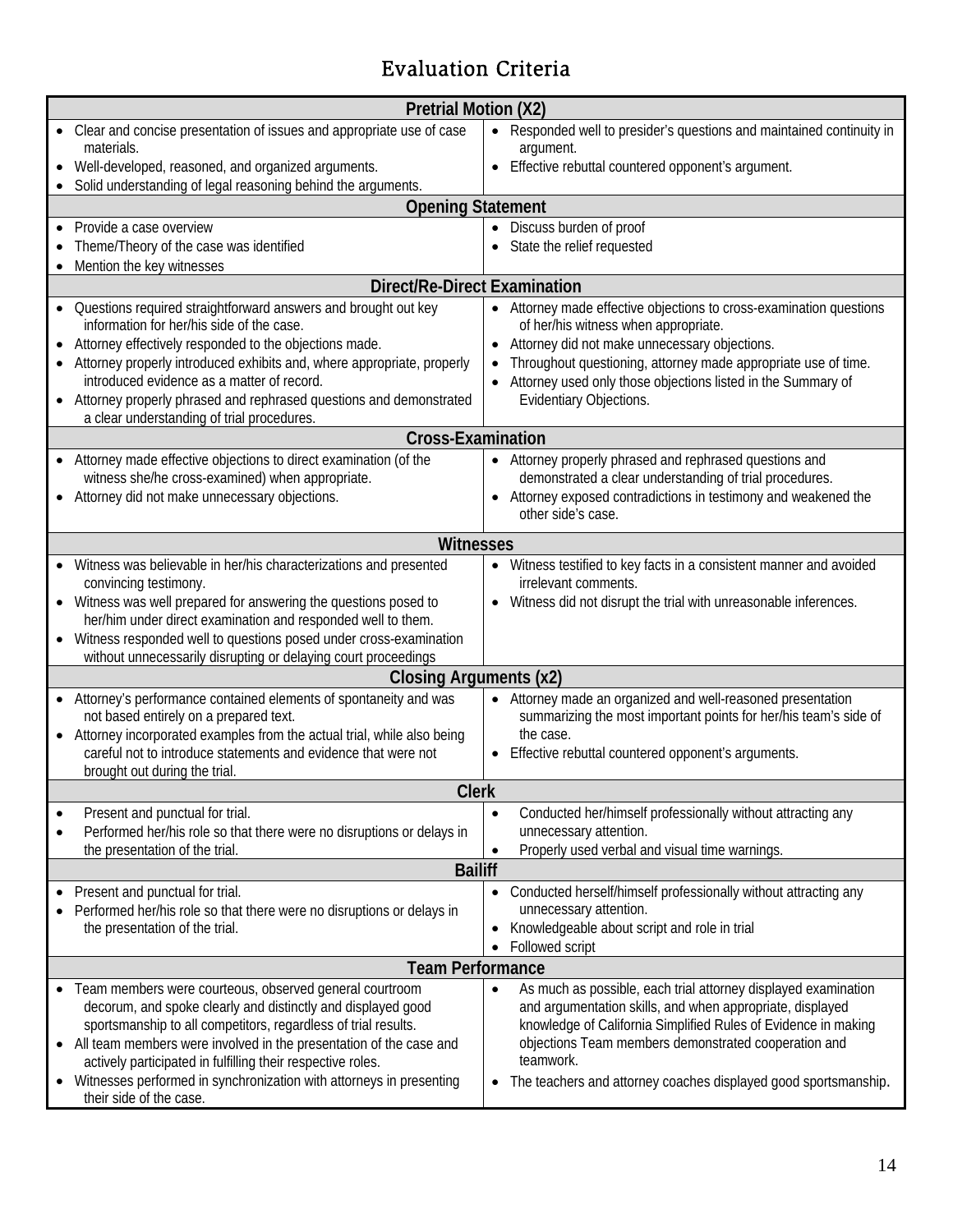# Evaluation Criteria

| <b>Pretrial Motion (X2)</b>                                                                                                                                                                                                                            |  |  |
|--------------------------------------------------------------------------------------------------------------------------------------------------------------------------------------------------------------------------------------------------------|--|--|
| • Clear and concise presentation of issues and appropriate use of case<br>Responded well to presider's questions and maintained continuity in<br>$\bullet$                                                                                             |  |  |
| materials.<br>argument.<br>Well-developed, reasoned, and organized arguments.<br>Effective rebuttal countered opponent's argument.                                                                                                                     |  |  |
| Solid understanding of legal reasoning behind the arguments.                                                                                                                                                                                           |  |  |
| <b>Opening Statement</b>                                                                                                                                                                                                                               |  |  |
| Discuss burden of proof<br>Provide a case overview                                                                                                                                                                                                     |  |  |
| Theme/Theory of the case was identified<br>State the relief requested                                                                                                                                                                                  |  |  |
| Mention the key witnesses                                                                                                                                                                                                                              |  |  |
| <b>Direct/Re-Direct Examination</b><br>• Questions required straightforward answers and brought out key<br>• Attorney made effective objections to cross-examination questions                                                                         |  |  |
| information for her/his side of the case.<br>of her/his witness when appropriate.                                                                                                                                                                      |  |  |
| Attorney did not make unnecessary objections.<br>Attorney effectively responded to the objections made.                                                                                                                                                |  |  |
| Throughout questioning, attorney made appropriate use of time.<br>Attorney properly introduced exhibits and, where appropriate, properly                                                                                                               |  |  |
| introduced evidence as a matter of record.<br>Attorney used only those objections listed in the Summary of                                                                                                                                             |  |  |
| Attorney properly phrased and rephrased questions and demonstrated<br>Evidentiary Objections.<br>a clear understanding of trial procedures.                                                                                                            |  |  |
| <b>Cross-Examination</b>                                                                                                                                                                                                                               |  |  |
| Attorney made effective objections to direct examination (of the<br>• Attorney properly phrased and rephrased questions and                                                                                                                            |  |  |
| witness she/he cross-examined) when appropriate.<br>demonstrated a clear understanding of trial procedures.                                                                                                                                            |  |  |
| Attorney exposed contradictions in testimony and weakened the<br>Attorney did not make unnecessary objections.<br>other side's case.                                                                                                                   |  |  |
|                                                                                                                                                                                                                                                        |  |  |
| <b>Witnesses</b>                                                                                                                                                                                                                                       |  |  |
| • Witness was believable in her/his characterizations and presented<br>• Witness testified to key facts in a consistent manner and avoided<br>irrelevant comments.<br>convincing testimony.                                                            |  |  |
| • Witness was well prepared for answering the questions posed to<br>Witness did not disrupt the trial with unreasonable inferences.                                                                                                                    |  |  |
| her/him under direct examination and responded well to them.                                                                                                                                                                                           |  |  |
| Witness responded well to questions posed under cross-examination<br>without unnecessarily disrupting or delaying court proceedings                                                                                                                    |  |  |
| Closing Arguments (x2)                                                                                                                                                                                                                                 |  |  |
| Attorney made an organized and well-reasoned presentation<br>• Attorney's performance contained elements of spontaneity and was<br>$\bullet$                                                                                                           |  |  |
| not based entirely on a prepared text.<br>summarizing the most important points for her/his team's side of                                                                                                                                             |  |  |
| Attorney incorporated examples from the actual trial, while also being<br>the case.                                                                                                                                                                    |  |  |
| careful not to introduce statements and evidence that were not<br>• Effective rebuttal countered opponent's arguments.<br>brought out during the trial.                                                                                                |  |  |
| <b>Clerk</b>                                                                                                                                                                                                                                           |  |  |
| Conducted her/himself professionally without attracting any<br>Present and punctual for trial.<br>$\bullet$<br>$\bullet$                                                                                                                               |  |  |
| unnecessary attention.<br>Performed her/his role so that there were no disruptions or delays in<br>$\bullet$                                                                                                                                           |  |  |
| the presentation of the trial.<br>Properly used verbal and visual time warnings.                                                                                                                                                                       |  |  |
| <b>Bailiff</b><br>Present and punctual for trial.                                                                                                                                                                                                      |  |  |
| Conducted herself/himself professionally without attracting any<br>$\bullet$<br>Performed her/his role so that there were no disruptions or delays in<br>unnecessary attention.                                                                        |  |  |
| Knowledgeable about script and role in trial<br>the presentation of the trial.                                                                                                                                                                         |  |  |
| Followed script                                                                                                                                                                                                                                        |  |  |
| <b>Team Performance</b>                                                                                                                                                                                                                                |  |  |
| Team members were courteous, observed general courtroom<br>As much as possible, each trial attorney displayed examination<br>decorum, and spoke clearly and distinctly and displayed good<br>and argumentation skills, and when appropriate, displayed |  |  |
| sportsmanship to all competitors, regardless of trial results.<br>knowledge of California Simplified Rules of Evidence in making                                                                                                                       |  |  |
| All team members were involved in the presentation of the case and<br>objections Team members demonstrated cooperation and                                                                                                                             |  |  |
| actively participated in fulfilling their respective roles.<br>teamwork.                                                                                                                                                                               |  |  |
| Witnesses performed in synchronization with attorneys in presenting<br>The teachers and attorney coaches displayed good sportsmanship.<br>$\bullet$<br>their side of the case.                                                                         |  |  |